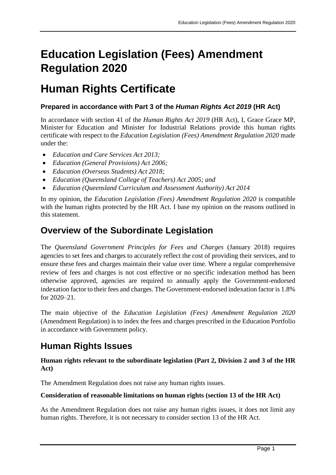# **Education Legislation (Fees) Amendment Regulation 2020**

## **Human Rights Certificate**

#### **Prepared in accordance with Part 3 of the** *Human Rights Act 2019* **(HR Act)**

In accordance with section 41 of the *Human Rights Act 2019* (HR Act), I, Grace Grace MP, Minister for Education and Minister for Industrial Relations provide this human rights certificate with respect to the *Education Legislation (Fees) Amendment Regulation 2020* made under the:

- *Education and Care Services Act 2013;*
- *Education (General Provisions) Act 2006;*
- *Education (Overseas Students) Act 2018;*
- *Education (Queensland College of Teachers) Act 2005; and*
- *Education (Queensland Curriculum and Assessment Authority) Act 2014*

In my opinion, the *Education Legislation (Fees) Amendment Regulation 2020* is compatible with the human rights protected by the HR Act. I base my opinion on the reasons outlined in this statement.

### **Overview of the Subordinate Legislation**

The *Queensland Government Principles for Fees and Charges* (January 2018) requires agencies to set fees and charges to accurately reflect the cost of providing their services, and to ensure these fees and charges maintain their value over time. Where a regular comprehensive review of fees and charges is not cost effective or no specific indexation method has been otherwise approved, agencies are required to annually apply the Government-endorsed indexation factor to their fees and charges. The Government-endorsed indexation factor is 1.8% for 2020–21.

The main objective of the *Education Legislation (Fees) Amendment Regulation 2020* (Amendment Regulation) is to index the fees and charges prescribed in the Education Portfolio in accordance with Government policy.

#### **Human Rights Issues**

**Human rights relevant to the subordinate legislation (Part 2, Division 2 and 3 of the HR Act)**

The Amendment Regulation does not raise any human rights issues.

#### **Consideration of reasonable limitations on human rights (section 13 of the HR Act)**

As the Amendment Regulation does not raise any human rights issues, it does not limit any human rights. Therefore, it is not necessary to consider section 13 of the HR Act.